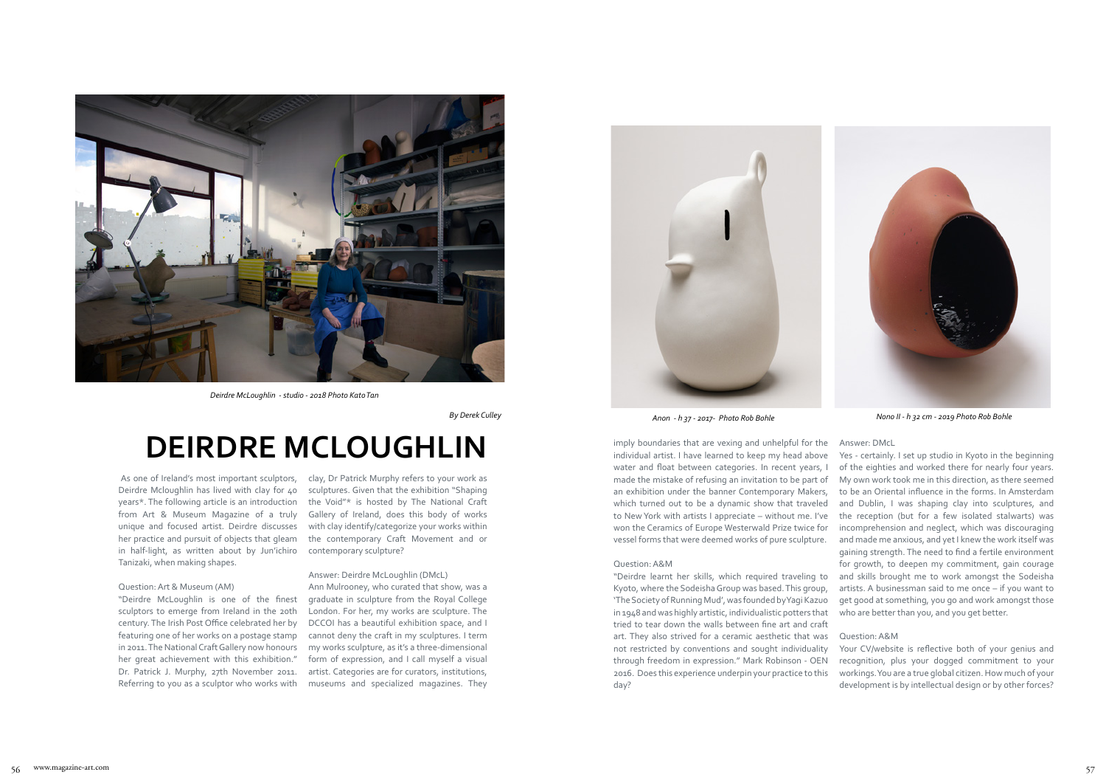As one of Ireland's most important sculptors, Deirdre Mcloughlin has lived with clay for 40 years\*. The following article is an introduction from Art & Museum Magazine of a truly unique and focused artist. Deirdre discusses her practice and pursuit of objects that gleam in half-light, as written about by Jun'ichiro Tanizaki, when making shapes.

#### Question: Art & Museum (AM)

"Deirdre McLoughlin is one of the finest sculptors to emerge from Ireland in the 20th century. The Irish Post Office celebrated her by featuring one of her works on a postage stamp in 2011. The National Craft Gallery now honours her great achievement with this exhibition." Dr. Patrick J. Murphy, 27th November 2011. Referring to you as a sculptor who works with clay, Dr Patrick Murphy refers to your work as sculptures. Given that the exhibition "Shaping the Void"\* is hosted by The National Craft Gallery of Ireland, does this body of works with clay identify/categorize your works within the contemporary Craft Movement and or contemporary sculpture?

#### Answer: Deirdre McLoughlin (DMcL)

Ann Mulrooney, who curated that show, was a graduate in sculpture from the Royal College London. For her, my works are sculpture. The DCCOI has a beautiful exhibition space, and I cannot deny the craft in my sculptures. I term my works sculpture, as it's a three-dimensional form of expression, and I call myself a visual artist. Categories are for curators, institutions, museums and specialized magazines. They

# **DEIRDRE MCLOUGHLIN**



*Deirdre McLoughlin - studio - 2018 Photo Kato Tan*



*By Derek Culley Anon - h 37 - 2017- Photo Rob Bohle*

imply boundaries that are vexing and unhelpful for the individual artist. I have learned to keep my head above water and float between categories. In recent years, I made the mistake of refusing an invitation to be part of an exhibition under the banner Contemporary Makers, which turned out to be a dynamic show that traveled to New York with artists I appreciate – without me. I've won the Ceramics of Europe Westerwald Prize twice for vessel forms that were deemed works of pure sculpture.

#### Question: A&M

# Answer: DMcL

"Deirdre learnt her skills, which required traveling to Kyoto, where the Sodeisha Group was based. This group, 'The Society of Running Mud', was founded by Yagi Kazuo in 1948 and was highly artistic, individualistic potters that tried to tear down the walls between fine art and craft art. They also strived for a ceramic aesthetic that was not restricted by conventions and sought individuality through freedom in expression." Mark Robinson - OEN 2016. Does this experience underpin your practice to this day? artists. A businessman said to me once – if you want to get good at something, you go and work amongst those who are better than you, and you get better. Question: A&M Your CV/website is reflective both of your genius and recognition, plus your dogged commitment to your workings. You are a true global citizen. How much of your development is by intellectual design or by other forces?

Yes - certainly. I set up studio in Kyoto in the beginning of the eighties and worked there for nearly four years. My own work took me in this direction, as there seemed to be an Oriental influence in the forms. In Amsterdam and Dublin, I was shaping clay into sculptures, and the reception (but for a few isolated stalwarts) was incomprehension and neglect, which was discouraging and made me anxious, and yet I knew the work itself was gaining strength. The need to find a fertile environment for growth, to deepen my commitment, gain courage and skills brought me to work amongst the Sodeisha



*Nono II - h 32 cm - 2019 Photo Rob Bohle*